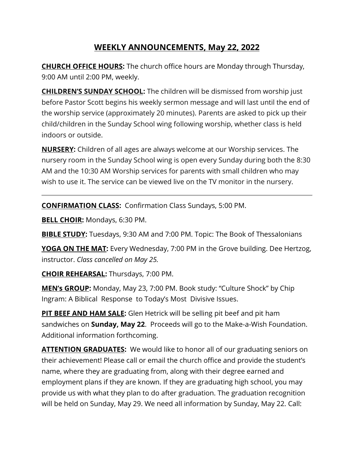# **WEEKLY ANNOUNCEMENTS, May 22, 2022**

**CHURCH OFFICE HOURS:** The church office hours are Monday through Thursday, 9:00 AM until 2:00 PM, weekly.

**CHILDREN'S SUNDAY SCHOOL:** The children will be dismissed from worship just before Pastor Scott begins his weekly sermon message and will last until the end of the worship service (approximately 20 minutes). Parents are asked to pick up their child/children in the Sunday School wing following worship, whether class is held indoors or outside.

**NURSERY:** Children of all ages are always welcome at our Worship services. The nursery room in the Sunday School wing is open every Sunday during both the 8:30 AM and the 10:30 AM Worship services for parents with small children who may wish to use it. The service can be viewed live on the TV monitor in the nursery.

**CONFIRMATION CLASS:** Confirmation Class Sundays, 5:00 PM.

**BELL CHOIR:** Mondays, 6:30 PM.

**BIBLE STUDY:** Tuesdays, 9:30 AM and 7:00 PM. Topic: The Book of Thessalonians

**YOGA ON THE MAT:** Every Wednesday, 7:00 PM in the Grove building. Dee Hertzog, instructor. *Class cancelled on May 25.*

**CHOIR REHEARSAL:** Thursdays, 7:00 PM.

**MEN's GROUP:** Monday, May 23, 7:00 PM. Book study: "Culture Shock" by Chip Ingram: A Biblical Response to Today's Most Divisive Issues.

**PIT BEEF AND HAM SALE:** Glen Hetrick will be selling pit beef and pit ham sandwiches on **Sunday, May 22**. Proceeds will go to the Make-a-Wish Foundation. Additional information forthcoming.

**ATTENTION GRADUATES:** We would like to honor all of our graduating seniors on their achievement! Please call or email the church office and provide the student's name, where they are graduating from, along with their degree earned and employment plans if they are known. If they are graduating high school, you may provide us with what they plan to do after graduation. The graduation recognition will be held on Sunday, May 29. We need all information by Sunday, May 22. Call: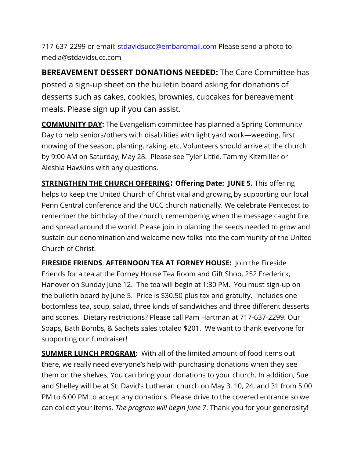717-637-2299 or email: [stdavidsucc@embarqmail.com](mailto:stdavidsucc@embarqmail.com) Please send a photo to media@stdavidsucc.com

**BEREAVEMENT DESSERT DONATIONS NEEDED:** The Care Committee has posted a sign-up sheet on the bulletin board asking for donations of desserts such as cakes, cookies, brownies, cupcakes for bereavement meals. Please sign up if you can assist.

**COMMUNITY DAY:** The Evangelism committee has planned a Spring Community Day to help seniors/others with disabilities with light yard work―weeding, first mowing of the season, planting, raking, etc. Volunteers should arrive at the church by 9:00 AM on Saturday, May 28. Please see Tyler Little, Tammy Kitzmiller or Aleshia Hawkins with any questions.

**STRENGTHEN THE CHURCH OFFERING: Offering Date: JUNE 5.** This offering helps to keep the United Church of Christ vital and growing by supporting our local Penn Central conference and the UCC church nationally. We celebrate Pentecost to remember the birthday of the church, remembering when the message caught fire and spread around the world. Please join in planting the seeds needed to grow and sustain our denomination and welcome new folks into the community of the United Church of Christ.

**FIRESIDE FRIENDS**: **AFTERNOON TEA AT FORNEY HOUSE:** Join the Fireside Friends for a tea at the Forney House Tea Room and Gift Shop, 252 Frederick, Hanover on Sunday June 12. The tea will begin at 1:30 PM. You must sign-up on the bulletin board by June 5. Price is \$30.50 plus tax and gratuity. Includes one bottomless tea, soup, salad, three kinds of sandwiches and three different desserts and scones. Dietary restrictions? Please call Pam Hartman at 717-637-2299. Our Soaps, Bath Bombs, & Sachets sales totaled \$201. We want to thank everyone for supporting our fundraiser!

**SUMMER LUNCH PROGRAM:** With all of the limited amount of food items out there, we really need everyone's help with purchasing donations when they see them on the shelves. You can bring your donations to your church. In addition, Sue and Shelley will be at St. David's Lutheran church on May 3, 10, 24, and 31 from 5:00 PM to 6:00 PM to accept any donations. Please drive to the covered entrance so we can collect your items. *The program will begin June 7*. Thank you for your generosity!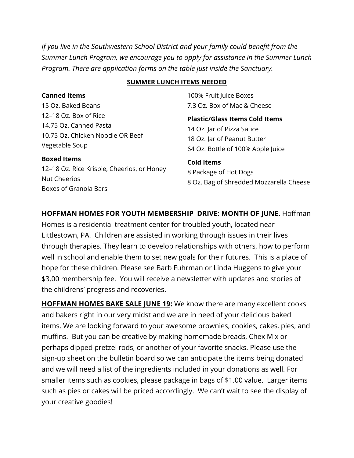*If you live in the Southwestern School District and your family could benefit from the Summer Lunch Program, we encourage you to apply for assistance in the Summer Lunch Program. There are application forms on the table just inside the Sanctuary.* 

#### **SUMMER LUNCH ITEMS NEEDED**

100% Fruit Juice Boxes 7.3 Oz. Box of Mac & Cheese

**Plastic/Glass Items Cold Items** 14 Oz. Jar of Pizza Sauce 18 Oz. Jar of Peanut Butter 64 Oz. Bottle of 100% Apple Juice

**Cold Items** 8 Package of Hot Dogs 8 Oz. Bag of Shredded Mozzarella Cheese

**HOFFMAN HOMES FOR YOUTH MEMBERSHIP DRIVE: MONTH OF JUNE.** Hoffman Homes is a residential treatment center for troubled youth, located near Littlestown, PA. Children are assisted in working through issues in their lives through therapies. They learn to develop relationships with others, how to perform well in school and enable them to set new goals for their futures. This is a place of hope for these children. Please see Barb Fuhrman or Linda Huggens to give your \$3.00 membership fee. You will receive a newsletter with updates and stories of the childrens' progress and recoveries.

**HOFFMAN HOMES BAKE SALE JUNE 19:** We know there are many excellent cooks and bakers right in our very midst and we are in need of your delicious baked items. We are looking forward to your awesome brownies, cookies, cakes, pies, and muffins. But you can be creative by making homemade breads, Chex Mix or perhaps dipped pretzel rods, or another of your favorite snacks. Please use the sign-up sheet on the bulletin board so we can anticipate the items being donated and we will need a list of the ingredients included in your donations as well. For smaller items such as cookies, please package in bags of \$1.00 value. Larger items such as pies or cakes will be priced accordingly. We can't wait to see the display of your creative goodies!

#### **Canned Items**

15 Oz. Baked Beans 12–18 Oz. Box of Rice 14.75 Oz. Canned Pasta 10.75 Oz. Chicken Noodle OR Beef Vegetable Soup

#### **Boxed Items**

12–18 Oz. Rice Krispie, Cheerios, or Honey Nut Cheerios Boxes of Granola Bars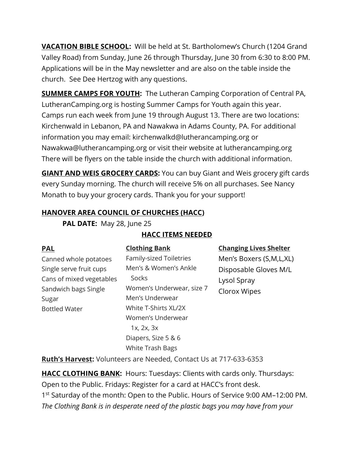**VACATION BIBLE SCHOOL:** Will be held at St. Bartholomew's Church (1204 Grand Valley Road) from Sunday, June 26 through Thursday, June 30 from 6:30 to 8:00 PM. Applications will be in the May newsletter and are also on the table inside the church. See Dee Hertzog with any questions.

**SUMMER CAMPS FOR YOUTH:** The Lutheran Camping Corporation of Central PA, LutheranCamping.org is hosting Summer Camps for Youth again this year. Camps run each week from June 19 through August 13. There are two locations: Kirchenwald in Lebanon, PA and Nawakwa in Adams County, PA. For additional information you may email: kirchenwalkd@lutherancamping.org or Nawakwa@lutherancamping.org or visit their website at lutherancamping.org There will be flyers on the table inside the church with additional information.

**GIANT AND WEIS GROCERY CARDS:** You can buy Giant and Weis grocery gift cards every Sunday morning. The church will receive 5% on all purchases. See Nancy Monath to buy your grocery cards. Thank you for your support!

## **HANOVER AREA COUNCIL OF CHURCHES (HACC)**

**PAL DATE:** May 28, June 25

| <b>PAL</b>               | <b>Clothing Bank</b>      | <b>Changing Lives Shelter</b> |
|--------------------------|---------------------------|-------------------------------|
| Canned whole potatoes    | Family-sized Toiletries   | Men's Boxers (S,M,L,XL)       |
| Single serve fruit cups  | Men's & Women's Ankle     | Disposable Gloves M/L         |
| Cans of mixed vegetables | Socks                     | Lysol Spray                   |
| Sandwich bags Single     | Women's Underwear, size 7 | Clorox Wipes                  |
| Sugar                    | Men's Underwear           |                               |
| <b>Bottled Water</b>     | White T-Shirts XL/2X      |                               |
|                          | Women's Underwear         |                               |
|                          | $1x$ , $2x$ , $3x$        |                               |
|                          | Diapers, Size 5 & 6       |                               |
|                          | White Trash Bags          |                               |
|                          |                           |                               |

### **HACC ITEMS NEEDED**

**Ruth's Harvest:** Volunteers are Needed, Contact Us at 717-633-6353

**HACC CLOTHING BANK:** Hours: Tuesdays: Clients with cards only. Thursdays: Open to the Public. Fridays: Register for a card at HACC's front desk. 1<sup>st</sup> Saturday of the month: Open to the Public. Hours of Service 9:00 AM-12:00 PM. *The Clothing Bank is in desperate need of the plastic bags you may have from your*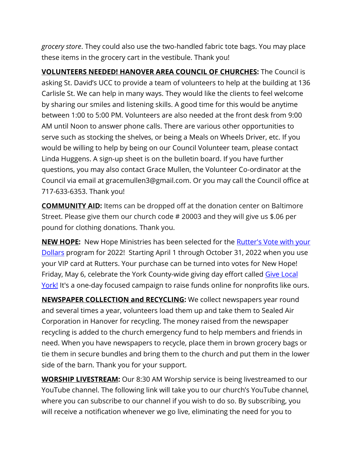*grocery store*. They could also use the two-handled fabric tote bags. You may place these items in the grocery cart in the vestibule. Thank you!

**VOLUNTEERS NEEDED! HANOVER AREA COUNCIL OF CHURCHES:** The Council is asking St. David's UCC to provide a team of volunteers to help at the building at 136 Carlisle St. We can help in many ways. They would like the clients to feel welcome by sharing our smiles and listening skills. A good time for this would be anytime between 1:00 to 5:00 PM. Volunteers are also needed at the front desk from 9:00 AM until Noon to answer phone calls. There are various other opportunities to serve such as stocking the shelves, or being a Meals on Wheels Driver, etc. If you would be willing to help by being on our Council Volunteer team, please contact Linda Huggens. A sign-up sheet is on the bulletin board. If you have further questions, you may also contact Grace Mullen, the Volunteer Co-ordinator at the Council via email at gracemullen3@gmail.com. Or you may call the Council office at 717-633-6353. Thank you!

**COMMUNITY AID:** Items can be dropped off at the donation center on Baltimore Street. Please give them our church code # 20003 and they will give us \$.06 per pound for clothing donations. Thank you.

**NEW HOPE:** New Hope Ministries has been selected for the [Rutter's Vote with your](https://nhm-pa.org/uncategorized/rutters-vote-with-your-dollars/)  [Dollars](https://nhm-pa.org/uncategorized/rutters-vote-with-your-dollars/) program for 2022! Starting April 1 through October 31, 2022 when you use your VIP card at Rutters. Your purchase can be turned into votes for New Hope! Friday, May 6, celebrate the York County-wide giving day effort called [Give Local](https://www.givelocalyork.org/organizations/new-hope-ministries)  [York!](https://www.givelocalyork.org/organizations/new-hope-ministries) It's a one-day focused campaign to raise funds online for nonprofits like ours.

**NEWSPAPER COLLECTION and RECYCLING:** We collect newspapers year round and several times a year, volunteers load them up and take them to Sealed Air Corporation in Hanover for recycling. The money raised from the newspaper recycling is added to the church emergency fund to help members and friends in need. When you have newspapers to recycle, place them in brown grocery bags or tie them in secure bundles and bring them to the church and put them in the lower side of the barn. Thank you for your support.

**WORSHIP LIVESTREAM:** Our 8:30 AM Worship service is being livestreamed to our YouTube channel. The following link will take you to our church's YouTube channel, where you can subscribe to our channel if you wish to do so. By subscribing, you will receive a notification whenever we go live, eliminating the need for you to